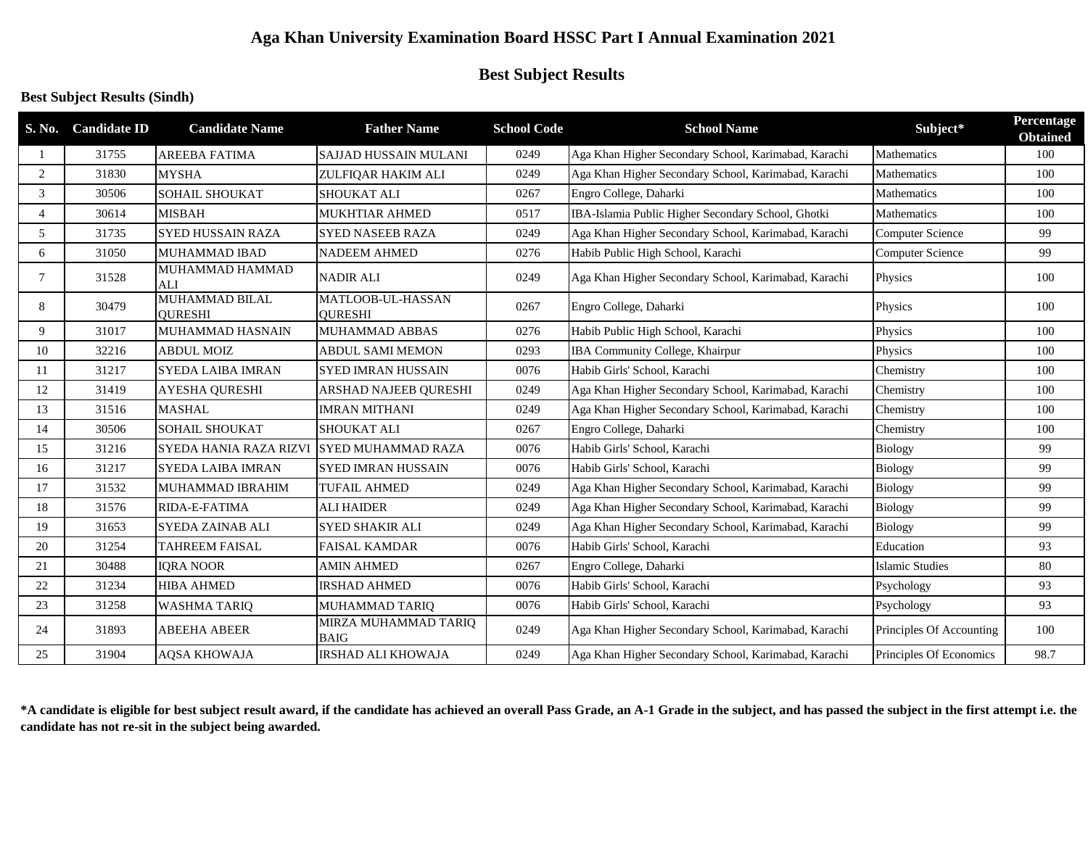## **Aga Khan University Examination Board HSSC Part I Annual Examination 2021**

# **Best Subject Results**

### **Best Subject Results (Sindh)**

| S. No.         | <b>Candidate ID</b> | <b>Candidate Name</b>                   | <b>Father Name</b>                         | <b>School Code</b> | <b>School Name</b>                                   | Subject*                 | Percentage<br><b>Obtained</b> |
|----------------|---------------------|-----------------------------------------|--------------------------------------------|--------------------|------------------------------------------------------|--------------------------|-------------------------------|
|                | 31755               | <b>AREEBA FATIMA</b>                    | <b>SAJJAD HUSSAIN MULANI</b>               | 0249               | Aga Khan Higher Secondary School, Karimabad, Karachi | Mathematics              | 100                           |
| 2              | 31830               | <b>MYSHA</b>                            | ZULFIOAR HAKIM ALI                         | 0249               | Aga Khan Higher Secondary School, Karimabad, Karachi | Mathematics              | 100                           |
| 3              | 30506               | <b>SOHAIL SHOUKAT</b>                   | <b>SHOUKAT ALI</b>                         | 0267               | Engro College, Daharki                               | Mathematics              | 100                           |
| $\overline{4}$ | 30614               | <b>MISBAH</b>                           | MUKHTIAR AHMED                             | 0517               | IBA-Islamia Public Higher Secondary School, Ghotki   | Mathematics              | 100                           |
| 5              | 31735               | <b>SYED HUSSAIN RAZA</b>                | <b>SYED NASEEB RAZA</b>                    | 0249               | Aga Khan Higher Secondary School, Karimabad, Karachi | <b>Computer Science</b>  | 99                            |
| 6              | 31050               | <b>MUHAMMAD IBAD</b>                    | <b>NADEEM AHMED</b>                        | 0276               | Habib Public High School, Karachi                    | <b>Computer Science</b>  | 99                            |
| $\overline{7}$ | 31528               | MUHAMMAD HAMMAD<br><b>ALI</b>           | <b>NADIR ALI</b>                           | 0249               | Aga Khan Higher Secondary School, Karimabad, Karachi | Physics                  | 100                           |
| 8              | 30479               | <b>MUHAMMAD BILAL</b><br><b>OURESHI</b> | <b>MATLOOB-UL-HASSAN</b><br><b>OURESHI</b> | 0267               | Engro College, Daharki                               | Physics                  | 100                           |
| 9              | 31017               | MUHAMMAD HASNAIN                        | MUHAMMAD ABBAS                             | 0276               | Habib Public High School, Karachi                    | Physics                  | 100                           |
| 10             | 32216               | <b>ABDUL MOIZ</b>                       | <b>ABDUL SAMI MEMON</b>                    | 0293               | <b>IBA Community College, Khairpur</b>               | Physics                  | 100                           |
| 11             | 31217               | <b>SYEDA LAIBA IMRAN</b>                | <b>SYED IMRAN HUSSAIN</b>                  | 0076               | Habib Girls' School, Karachi                         | Chemistry                | 100                           |
| 12             | 31419               | <b>AYESHA QURESHI</b>                   | ARSHAD NAJEEB QURESHI                      | 0249               | Aga Khan Higher Secondary School, Karimabad, Karachi | Chemistry                | 100                           |
| 13             | 31516               | <b>MASHAL</b>                           | <b>IMRAN MITHANI</b>                       | 0249               | Aga Khan Higher Secondary School, Karimabad, Karachi | Chemistry                | 100                           |
| 14             | 30506               | <b>SOHAIL SHOUKAT</b>                   | <b>SHOUKAT ALI</b>                         | 0267               | Engro College, Daharki                               | Chemistry                | 100                           |
| 15             | 31216               | SYEDA HANIA RAZA RIZV                   | SYED MUHAMMAD RAZA                         | 0076               | Habib Girls' School, Karachi                         | <b>Biology</b>           | 99                            |
| 16             | 31217               | <b>SYEDA LAIBA IMRAN</b>                | <b>SYED IMRAN HUSSAIN</b>                  | 0076               | Habib Girls' School, Karachi                         | <b>Biology</b>           | 99                            |
| 17             | 31532               | MUHAMMAD IBRAHIM                        | <b>TUFAIL AHMED</b>                        | 0249               | Aga Khan Higher Secondary School, Karimabad, Karachi | <b>Biology</b>           | 99                            |
| 18             | 31576               | RIDA-E-FATIMA                           | <b>ALI HAIDER</b>                          | 0249               | Aga Khan Higher Secondary School, Karimabad, Karachi | <b>Biology</b>           | 99                            |
| 19             | 31653               | SYEDA ZAINAB ALI                        | <b>SYED SHAKIR ALI</b>                     | 0249               | Aga Khan Higher Secondary School, Karimabad, Karachi | <b>Biology</b>           | 99                            |
| 20             | 31254               | <b>TAHREEM FAISAL</b>                   | <b>FAISAL KAMDAR</b>                       | 0076               | Habib Girls' School, Karachi                         | Education                | 93                            |
| 21             | 30488               | <b>IQRA NOOR</b>                        | <b>AMIN AHMED</b>                          | 0267               | Engro College, Daharki                               | <b>Islamic Studies</b>   | 80                            |
| 22             | 31234               | <b>HIBA AHMED</b>                       | <b>IRSHAD AHMED</b>                        | 0076               | Habib Girls' School, Karachi                         | Psychology               | 93                            |
| 23             | 31258               | <b>WASHMA TARIQ</b>                     | MUHAMMAD TARIQ                             | 0076               | Habib Girls' School, Karachi                         | Psychology               | 93                            |
| 24             | 31893               | <b>ABEEHA ABEER</b>                     | MIRZA MUHAMMAD TARIQ<br><b>BAIG</b>        | 0249               | Aga Khan Higher Secondary School, Karimabad, Karachi | Principles Of Accounting | 100                           |
| 25             | 31904               | <b>AQSA KHOWAJA</b>                     | <b>IRSHAD ALI KHOWAJA</b>                  | 0249               | Aga Khan Higher Secondary School, Karimabad, Karachi | Principles Of Economics  | 98.7                          |

**\*A candidate is eligible for best subject result award, if the candidate has achieved an overall Pass Grade, an A-1 Grade in the subject, and has passed the subject in the first attempt i.e. the candidate has not re-sit in the subject being awarded.**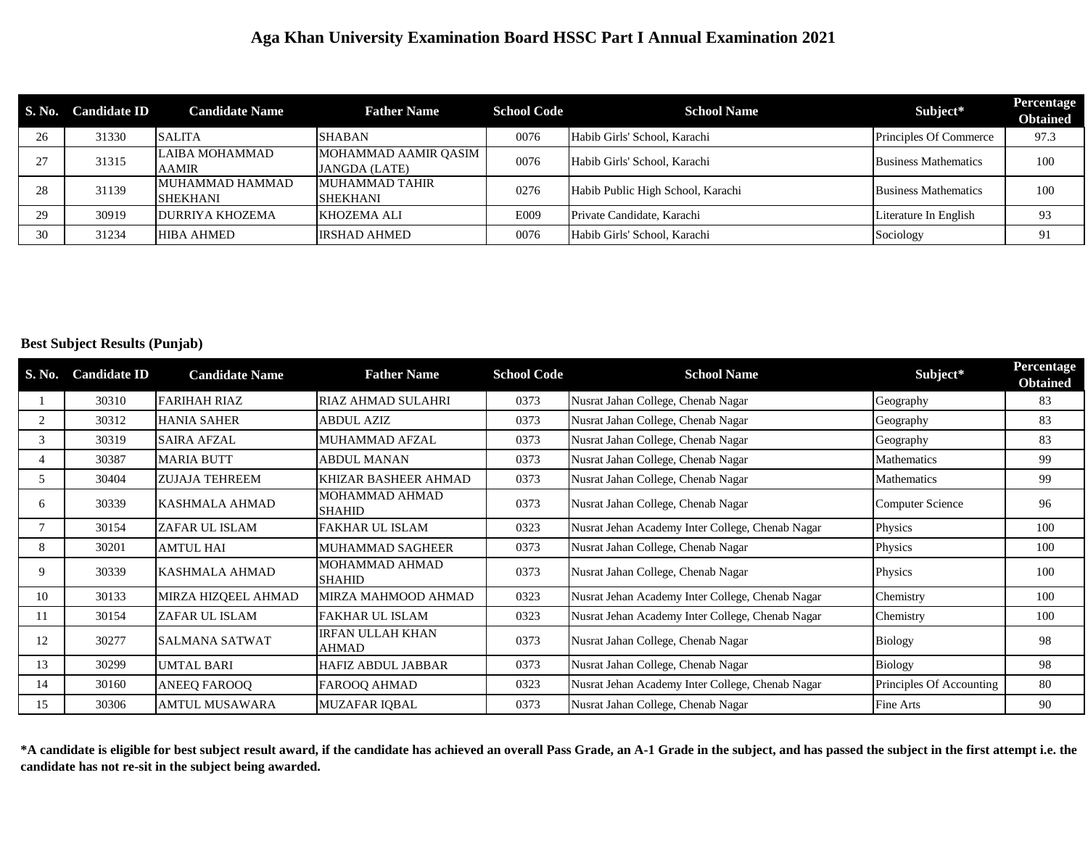### **Aga Khan University Examination Board HSSC Part I Annual Examination 2021**

| <b>S. No.</b> | <b>Candidate ID</b> | <b>Candidate Name</b>              | <b>Father Name</b>                           | <b>School Code</b> | <b>School Name</b>                | Subject*                    | Percentage<br><b>Obtained</b> |
|---------------|---------------------|------------------------------------|----------------------------------------------|--------------------|-----------------------------------|-----------------------------|-------------------------------|
| 26            | 31330               | <b>SALITA</b>                      | <b>SHABAN</b>                                | 0076               | Habib Girls' School, Karachi      | Principles Of Commerce      | 97.3                          |
| 27            | 31315               | LAIBA MOHAMMAD<br><b>AAMIR</b>     | MOHAMMAD AAMIR OASIM<br><b>JANGDA (LATE)</b> | 0076               | Habib Girls' School, Karachi      | <b>Business Mathematics</b> | 100                           |
| 28            | 31139               | MUHAMMAD HAMMAD<br><b>SHEKHANI</b> | MUHAMMAD TAHIR<br>SHEKHANI                   | 0276               | Habib Public High School, Karachi | <b>Business Mathematics</b> | 100                           |
| 29            | 30919               | <b>DURRIYA KHOZEMA</b>             | KHOZEMA ALI                                  | E009               | Private Candidate, Karachi        | Literature In English       | 93                            |
| 30            | 31234               | <b>HIBA AHMED</b>                  | <b>IRSHAD AHMED</b>                          | 0076               | Habib Girls' School, Karachi      | Sociology                   | 91                            |

#### **Best Subject Results (Punjab)**

| S. No. | <b>Candidate ID</b> | <b>Candidate Name</b> | <b>Father Name</b>                      | <b>School Code</b> | <b>School Name</b>                               | Subject*                 | Percentage<br><b>Obtained</b> |
|--------|---------------------|-----------------------|-----------------------------------------|--------------------|--------------------------------------------------|--------------------------|-------------------------------|
|        | 30310               | <b>FARIHAH RIAZ</b>   | <b>RIAZ AHMAD SULAHRI</b>               | 0373               | Nusrat Jahan College, Chenab Nagar               | Geography                | 83                            |
|        | 30312               | <b>HANIA SAHER</b>    | ABDUL AZIZ                              | 0373               | Nusrat Jahan College, Chenab Nagar               | Geography                | 83                            |
| 3      | 30319               | <b>SAIRA AFZAL</b>    | <b>MUHAMMAD AFZAL</b>                   | 0373               | Nusrat Jahan College, Chenab Nagar               | Geography                | 83                            |
|        | 30387               | <b>MARIA BUTT</b>     | <b>ABDUL MANAN</b>                      | 0373               | Nusrat Jahan College, Chenab Nagar               | Mathematics              | 99                            |
| 5      | 30404               | <b>ZUJAJA TEHREEM</b> | KHIZAR BASHEER AHMAD                    | 0373               | Nusrat Jahan College, Chenab Nagar               | Mathematics              | 99                            |
| 6      | 30339               | <b>KASHMALA AHMAD</b> | <b>MOHAMMAD AHMAD</b><br><b>SHAHID</b>  | 0373               | Nusrat Jahan College, Chenab Nagar               | <b>Computer Science</b>  | 96                            |
|        | 30154               | ZAFAR UL ISLAM        | <b>FAKHAR UL ISLAM</b>                  | 0323               | Nusrat Jehan Academy Inter College, Chenab Nagar | Physics                  | 100                           |
| 8      | 30201               | <b>AMTUL HAI</b>      | <b>MUHAMMAD SAGHEER</b>                 | 0373               | Nusrat Jahan College, Chenab Nagar               | Physics                  | 100                           |
| 9      | 30339               | <b>KASHMALA AHMAD</b> | <b>MOHAMMAD AHMAD</b><br><b>SHAHID</b>  | 0373               | Nusrat Jahan College, Chenab Nagar               | Physics                  | 100                           |
| 10     | 30133               | MIRZA HIZQEEL AHMAD   | MIRZA MAHMOOD AHMAD                     | 0323               | Nusrat Jehan Academy Inter College, Chenab Nagar | Chemistry                | 100                           |
| 11     | 30154               | ZAFAR UL ISLAM        | <b>FAKHAR UL ISLAM</b>                  | 0323               | Nusrat Jehan Academy Inter College, Chenab Nagar | Chemistry                | 100                           |
| 12     | 30277               | <b>SALMANA SATWAT</b> | <b>IRFAN ULLAH KHAN</b><br><b>AHMAD</b> | 0373               | Nusrat Jahan College, Chenab Nagar               | Biology                  | 98                            |
| 13     | 30299               | <b>UMTAL BARI</b>     | <b>HAFIZ ABDUL JABBAR</b>               | 0373               | Nusrat Jahan College, Chenab Nagar               | <b>Biology</b>           | 98                            |
| 14     | 30160               | <b>ANEEO FAROOO</b>   | FAROOQ AHMAD                            | 0323               | Nusrat Jehan Academy Inter College, Chenab Nagar | Principles Of Accounting | 80                            |
| 15     | 30306               | <b>AMTUL MUSAWARA</b> | <b>MUZAFAR IQBAL</b>                    | 0373               | Nusrat Jahan College, Chenab Nagar               | Fine Arts                | 90                            |

**\*A candidate is eligible for best subject result award, if the candidate has achieved an overall Pass Grade, an A-1 Grade in the subject, and has passed the subject in the first attempt i.e. the candidate has not re-sit in the subject being awarded.**